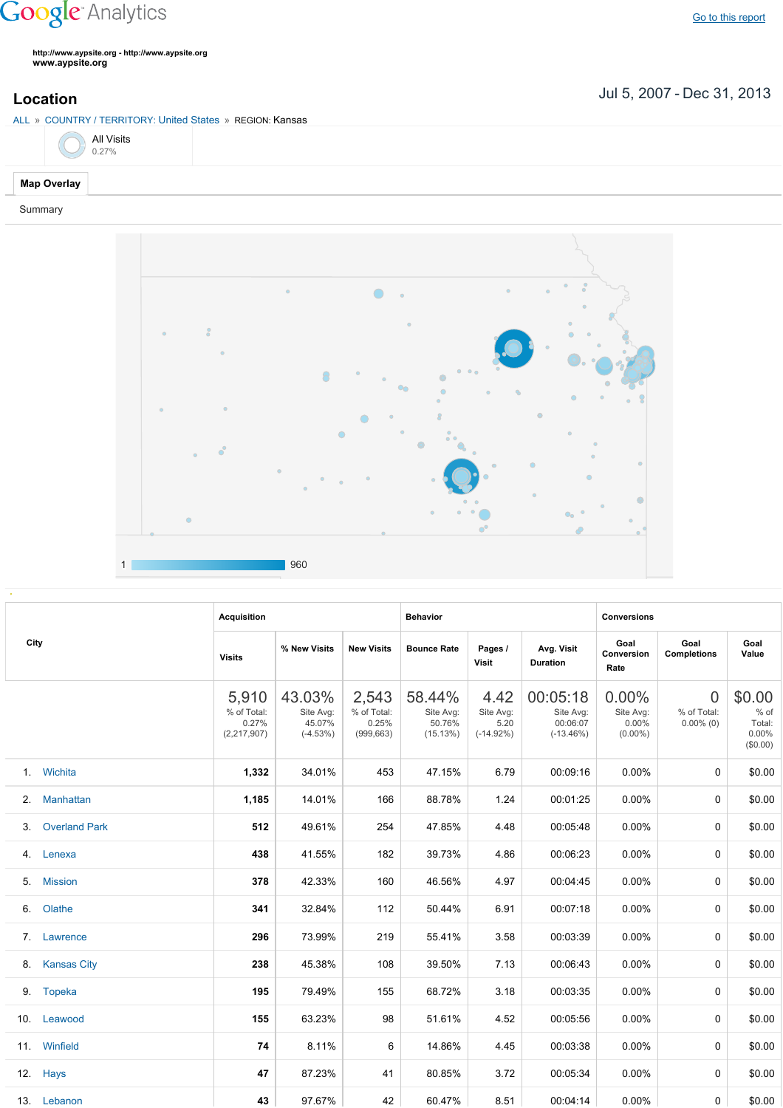## **Google** Analytics

**http://www.aypsite.org http://www.aypsite.org www.aypsite.org**

ALL » COUNTRY / TERRITORY: United States » REGION: Kansas

|  | <b>All Visits</b><br>0.27% |
|--|----------------------------|
|  |                            |

## **Map Overlay**

Summary



| City | <b>Acquisition</b>   |                                                |                                             | <b>Behavior</b>                             |                                           |                                          | <b>Conversions</b>                               |                                              |                                               |                                                 |
|------|----------------------|------------------------------------------------|---------------------------------------------|---------------------------------------------|-------------------------------------------|------------------------------------------|--------------------------------------------------|----------------------------------------------|-----------------------------------------------|-------------------------------------------------|
|      | <b>Visits</b>        | % New Visits                                   | <b>New Visits</b>                           | <b>Bounce Rate</b>                          | Pages /<br><b>Visit</b>                   | Avg. Visit<br><b>Duration</b>            | Goal<br>Conversion<br>Rate                       | Goal<br><b>Completions</b>                   | Goal<br>Value                                 |                                                 |
|      |                      | 5,910<br>% of Total:<br>0.27%<br>(2, 217, 907) | 43.03%<br>Site Avg:<br>45.07%<br>$(-4.53%)$ | 2,543<br>% of Total:<br>0.25%<br>(999, 663) | 58.44%<br>Site Avg:<br>50.76%<br>(15.13%) | 4.42<br>Site Avg:<br>5.20<br>$(-14.92%)$ | 00:05:18<br>Site Avg:<br>00:06:07<br>$(-13.46%)$ | $0.00\%$<br>Site Avg:<br>0.00%<br>$(0.00\%)$ | $\overline{0}$<br>% of Total:<br>$0.00\%$ (0) | \$0.00<br>$%$ of<br>Total:<br>0.00%<br>(\$0.00) |
| 1.   | Wichita              | 1,332                                          | 34.01%                                      | 453                                         | 47.15%                                    | 6.79                                     | 00:09:16                                         | $0.00\%$                                     | 0                                             | \$0.00                                          |
| 2.   | <b>Manhattan</b>     | 1,185                                          | 14.01%                                      | 166                                         | 88.78%                                    | 1.24                                     | 00:01:25                                         | 0.00%                                        | 0                                             | \$0.00                                          |
| 3.   | <b>Overland Park</b> | 512                                            | 49.61%                                      | 254                                         | 47.85%                                    | 4.48                                     | 00:05:48                                         | 0.00%                                        | 0                                             | \$0.00                                          |
| 4.   | Lenexa               | 438                                            | 41.55%                                      | 182                                         | 39.73%                                    | 4.86                                     | 00:06:23                                         | $0.00\%$                                     | 0                                             | \$0.00                                          |
| 5.   | <b>Mission</b>       | 378                                            | 42.33%                                      | 160                                         | 46.56%                                    | 4.97                                     | 00:04:45                                         | 0.00%                                        | 0                                             | \$0.00                                          |
| 6.   | Olathe               | 341                                            | 32.84%                                      | 112                                         | 50.44%                                    | 6.91                                     | 00:07:18                                         | 0.00%                                        | 0                                             | \$0.00                                          |
|      | 7. Lawrence          | 296                                            | 73.99%                                      | 219                                         | 55.41%                                    | 3.58                                     | 00:03:39                                         | 0.00%                                        | 0                                             | \$0.00                                          |
| 8.   | <b>Kansas City</b>   | 238                                            | 45.38%                                      | 108                                         | 39.50%                                    | 7.13                                     | 00:06:43                                         | 0.00%                                        | 0                                             | \$0.00                                          |
| 9.   | Topeka               | 195                                            | 79.49%                                      | 155                                         | 68.72%                                    | 3.18                                     | 00:03:35                                         | 0.00%                                        | 0                                             | \$0.00                                          |
|      | 10. Leawood          | 155                                            | 63.23%                                      | 98                                          | 51.61%                                    | 4.52                                     | 00:05:56                                         | 0.00%                                        | $\Omega$                                      | \$0.00                                          |
|      | 11. Winfield         | 74                                             | 8.11%                                       | 6                                           | 14.86%                                    | 4.45                                     | 00:03:38                                         | 0.00%                                        | $\Omega$                                      | \$0.00                                          |
| 12.  | Hays                 | 47                                             | 87.23%                                      | 41                                          | 80.85%                                    | 3.72                                     | 00:05:34                                         | 0.00%                                        | $\Omega$                                      | \$0.00                                          |
|      | 13. Lebanon          | 43                                             | 97.67%                                      | 42                                          | 60.47%                                    | 8.51                                     | 00:04:14                                         | $0.00\%$                                     | 0                                             | \$0.00                                          |

Jul 5, 2007 Dec 31, 2013 **Location**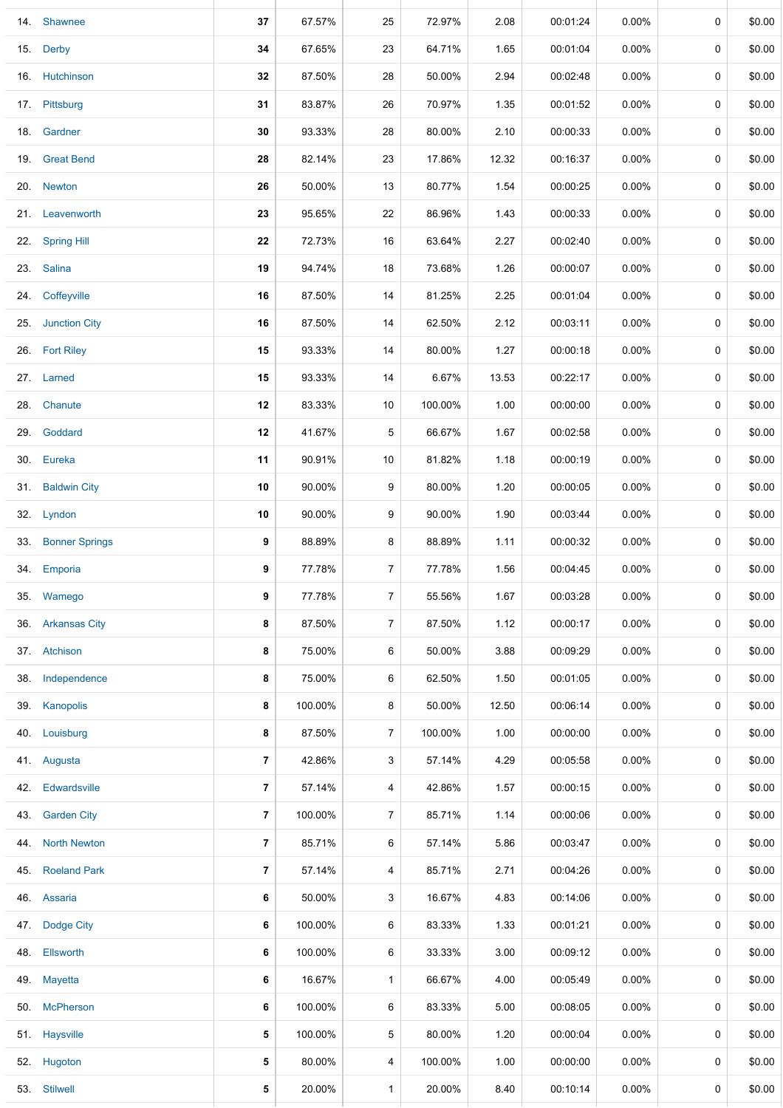| 14. | Shawnee             | 37 | 67.57%  | 25             | 72.97%  | 2.08  | 00:01:24 | $0.00\%$ | $\mathbf 0$ | \$0.00 |
|-----|---------------------|----|---------|----------------|---------|-------|----------|----------|-------------|--------|
| 15. | <b>Derby</b>        | 34 | 67.65%  | 23             | 64.71%  | 1.65  | 00:01:04 | 0.00%    | 0           | \$0.00 |
|     | 16. Hutchinson      | 32 | 87.50%  | 28             | 50.00%  | 2.94  | 00:02:48 | $0.00\%$ | 0           | \$0.00 |
|     | 17. Pittsburg       | 31 | 83.87%  | 26             | 70.97%  | 1.35  | 00:01:52 | $0.00\%$ | 0           | \$0.00 |
|     | 18. Gardner         | 30 | 93.33%  | 28             | 80.00%  | 2.10  | 00:00:33 | 0.00%    | 0           | \$0.00 |
|     | 19. Great Bend      | 28 | 82.14%  | 23             | 17.86%  | 12.32 | 00:16:37 | 0.00%    | 0           | \$0.00 |
|     | 20. Newton          | 26 | 50.00%  | 13             | 80.77%  | 1.54  | 00:00:25 | $0.00\%$ | $\mathbf 0$ | \$0.00 |
|     | 21. Leavenworth     | 23 | 95.65%  | 22             | 86.96%  | 1.43  | 00:00:33 | $0.00\%$ | 0           | \$0.00 |
| 22. | <b>Spring Hill</b>  | 22 | 72.73%  | 16             | 63.64%  | 2.27  | 00:02:40 | $0.00\%$ | 0           | \$0.00 |
|     | 23. Salina          | 19 | 94.74%  | 18             | 73.68%  | 1.26  | 00:00:07 | $0.00\%$ | 0           | \$0.00 |
|     | 24. Coffeyville     | 16 | 87.50%  | 14             | 81.25%  | 2.25  | 00:01:04 | $0.00\%$ | 0           | \$0.00 |
|     | 25. Junction City   | 16 | 87.50%  | 14             | 62.50%  | 2.12  | 00:03:11 | $0.00\%$ | 0           | \$0.00 |
|     | 26. Fort Riley      | 15 | 93.33%  | 14             | 80.00%  | 1.27  | 00:00:18 | $0.00\%$ | 0           | \$0.00 |
|     | 27. Larned          | 15 | 93.33%  | 14             | 6.67%   | 13.53 | 00:22:17 | 0.00%    | 0           | \$0.00 |
|     | 28. Chanute         | 12 | 83.33%  | 10             | 100.00% | 1.00  | 00:00:00 | $0.00\%$ | 0           | \$0.00 |
|     | 29. Goddard         | 12 | 41.67%  | 5              | 66.67%  | 1.67  | 00:02:58 | $0.00\%$ | 0           | \$0.00 |
|     | 30. Eureka          | 11 | 90.91%  | 10             | 81.82%  | 1.18  | 00:00:19 | 0.00%    | 0           | \$0.00 |
|     | 31. Baldwin City    | 10 | 90.00%  | 9              | 80.00%  | 1.20  | 00:00:05 | $0.00\%$ | 0           | \$0.00 |
|     | 32. Lyndon          | 10 | 90.00%  | 9              | 90.00%  | 1.90  | 00:03:44 | $0.00\%$ | 0           | \$0.00 |
|     | 33. Bonner Springs  | 9  | 88.89%  | 8              | 88.89%  | 1.11  | 00:00:32 | $0.00\%$ | 0           | \$0.00 |
|     | 34. Emporia         | 9  | 77.78%  | $\overline{7}$ | 77.78%  | 1.56  | 00:04:45 | $0.00\%$ | 0           | \$0.00 |
| 35. | Wamego              | 9  | 77.78%  | 7              | 55.56%  | 1.67  | 00:03:28 | $0.00\%$ | 0           | \$0.00 |
|     | 36. Arkansas City   | 8  | 87.50%  | $\overline{7}$ | 87.50%  | 1.12  | 00:00:17 | $0.00\%$ | 0           | \$0.00 |
|     | 37. Atchison        | 8  | 75.00%  | 6              | 50.00%  | 3.88  | 00:09:29 | 0.00%    | 0           | \$0.00 |
| 38. | Independence        | 8  | 75.00%  | 6              | 62.50%  | 1.50  | 00:01:05 | $0.00\%$ | 0           | \$0.00 |
| 39. | Kanopolis           | 8  | 100.00% | 8              | 50.00%  | 12.50 | 00:06:14 | $0.00\%$ | 0           | \$0.00 |
| 40. | Louisburg           | 8  | 87.50%  | $\overline{7}$ | 100.00% | 1.00  | 00:00:00 | $0.00\%$ | 0           | \$0.00 |
|     | 41. Augusta         | 7  | 42.86%  | 3              | 57.14%  | 4.29  | 00:05:58 | $0.00\%$ | 0           | \$0.00 |
| 42. | Edwardsville        | 7  | 57.14%  | 4              | 42.86%  | 1.57  | 00:00:15 | $0.00\%$ | 0           | \$0.00 |
| 43. | <b>Garden City</b>  | 7  | 100.00% | 7              | 85.71%  | 1.14  | 00:00:06 | $0.00\%$ | 0           | \$0.00 |
| 44. | <b>North Newton</b> | 7  | 85.71%  | 6              | 57.14%  | 5.86  | 00:03:47 | $0.00\%$ | 0           | \$0.00 |
| 45. | <b>Roeland Park</b> | 7  | 57.14%  | 4              | 85.71%  | 2.71  | 00:04:26 | $0.00\%$ | 0           | \$0.00 |
| 46. | Assaria             | 6  | 50.00%  | 3              | 16.67%  | 4.83  | 00:14:06 | $0.00\%$ | 0           | \$0.00 |
| 47. | Dodge City          | 6  | 100.00% | 6              | 83.33%  | 1.33  | 00:01:21 | $0.00\%$ | 0           | \$0.00 |
| 48. | Ellsworth           | 6  | 100.00% | 6              | 33.33%  | 3.00  | 00:09:12 | $0.00\%$ | 0           | \$0.00 |
|     | 49. Mayetta         | 6  | 16.67%  | $\mathbf{1}$   | 66.67%  | 4.00  | 00:05:49 | $0.00\%$ | 0           | \$0.00 |
| 50. | <b>McPherson</b>    | 6  | 100.00% | 6              | 83.33%  | 5.00  | 00:08:05 | $0.00\%$ | 0           | \$0.00 |
| 51. | Haysville           | 5  | 100.00% | 5              | 80.00%  | 1.20  | 00:00:04 | $0.00\%$ | 0           | \$0.00 |
|     | 52. Hugoton         | 5  | 80.00%  | 4              | 100.00% | 1.00  | 00:00:00 | 0.00%    | 0           | \$0.00 |
|     | 53. Stilwell        | 5  | 20.00%  | $\mathbf{1}$   | 20.00%  | 8.40  | 00:10:14 | $0.00\%$ | 0           | \$0.00 |
|     |                     |    |         |                |         |       |          |          |             |        |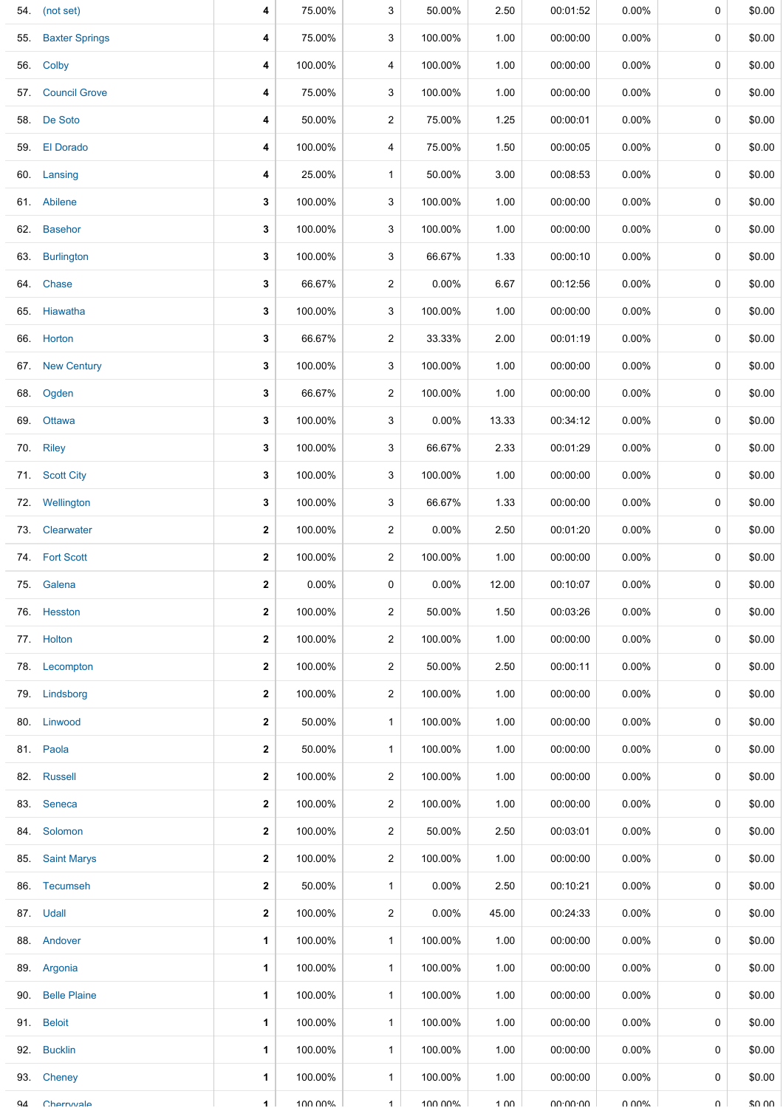|     | 54. (not set)         | 4                       | 75.00%   | 3              | 50.00%   | 2.50            | 00:01:52 | $0.00\%$ | 0           | \$0.00 |
|-----|-----------------------|-------------------------|----------|----------------|----------|-----------------|----------|----------|-------------|--------|
| 55. | <b>Baxter Springs</b> | 4                       | 75.00%   | 3              | 100.00%  | 1.00            | 00:00:00 | $0.00\%$ | 0           | \$0.00 |
|     | 56. Colby             | 4                       | 100.00%  | 4              | 100.00%  | 1.00            | 00:00:00 | $0.00\%$ | 0           | \$0.00 |
| 57. | <b>Council Grove</b>  | 4                       | 75.00%   | 3              | 100.00%  | 1.00            | 00:00:00 | $0.00\%$ | 0           | \$0.00 |
|     | 58. De Soto           | 4                       | 50.00%   | $\overline{2}$ | 75.00%   | 1.25            | 00:00:01 | $0.00\%$ | 0           | \$0.00 |
|     | 59. El Dorado         | 4                       | 100.00%  | 4              | 75.00%   | 1.50            | 00:00:05 | $0.00\%$ | 0           | \$0.00 |
|     | 60. Lansing           | 4                       | 25.00%   | $\mathbf{1}$   | 50.00%   | 3.00            | 00:08:53 | $0.00\%$ | 0           | \$0.00 |
|     | 61. Abilene           | 3                       | 100.00%  | 3              | 100.00%  | 1.00            | 00:00:00 | $0.00\%$ | 0           | \$0.00 |
|     | 62. Basehor           | 3                       | 100.00%  | 3              | 100.00%  | 1.00            | 00:00:00 | $0.00\%$ | 0           | \$0.00 |
|     | 63. Burlington        | 3                       | 100.00%  | 3              | 66.67%   | 1.33            | 00:00:10 | $0.00\%$ | 0           | \$0.00 |
|     | 64. Chase             | 3                       | 66.67%   | $\overline{2}$ | 0.00%    | 6.67            | 00:12:56 | $0.00\%$ | 0           | \$0.00 |
|     | 65. Hiawatha          | 3                       | 100.00%  | 3              | 100.00%  | 1.00            | 00:00:00 | $0.00\%$ | 0           | \$0.00 |
|     | 66. Horton            | 3                       | 66.67%   | $\overline{2}$ | 33.33%   | 2.00            | 00:01:19 | $0.00\%$ | 0           | \$0.00 |
|     | 67. New Century       | 3                       | 100.00%  | 3              | 100.00%  | 1.00            | 00:00:00 | $0.00\%$ | 0           | \$0.00 |
|     | 68. Ogden             | 3                       | 66.67%   | $\overline{2}$ | 100.00%  | 1.00            | 00:00:00 | $0.00\%$ | 0           | \$0.00 |
|     | 69. Ottawa            | 3                       | 100.00%  | 3              | $0.00\%$ | 13.33           | 00:34:12 | 0.00%    | 0           | \$0.00 |
|     | 70. Riley             | 3                       | 100.00%  | 3              | 66.67%   | 2.33            | 00:01:29 | $0.00\%$ | 0           | \$0.00 |
|     | 71. Scott City        | 3                       | 100.00%  | 3              | 100.00%  | 1.00            | 00:00:00 | 0.00%    | 0           | \$0.00 |
|     | 72. Wellington        | 3                       | 100.00%  | 3              | 66.67%   | 1.33            | 00:00:00 | $0.00\%$ | 0           | \$0.00 |
|     | 73. Clearwater        | 2                       | 100.00%  | $\overline{2}$ | 0.00%    | 2.50            | 00:01:20 | $0.00\%$ | 0           | \$0.00 |
|     | 74. Fort Scott        | 2                       | 100.00%  | $\overline{2}$ | 100.00%  | 1.00            | 00:00:00 | $0.00\%$ | 0           | \$0.00 |
|     | 75. Galena            | $\mathbf{2}$            | $0.00\%$ | 0              | $0.00\%$ | 12.00           | 00:10:07 | $0.00\%$ | 0           | \$0.00 |
|     | 76. Hesston           | $\mathbf{2}$            | 100.00%  | $\overline{2}$ | 50.00%   | 1.50            | 00:03:26 | $0.00\%$ | $\mathbf 0$ | \$0.00 |
|     | 77. Holton            | $\overline{\mathbf{2}}$ | 100.00%  | $\overline{a}$ | 100.00%  | 1.00            | 00:00:00 | $0.00\%$ | 0           | \$0.00 |
|     | 78. Lecompton         | $\mathbf{2}$            | 100.00%  | $\overline{2}$ | 50.00%   | 2.50            | 00:00:11 | $0.00\%$ | 0           | \$0.00 |
|     | 79. Lindsborg         | $\mathbf{2}$            | 100.00%  | $\overline{2}$ | 100.00%  | 1.00            | 00:00:00 | $0.00\%$ | 0           | \$0.00 |
|     | 80. Linwood           | 2                       | 50.00%   | $\mathbf{1}$   | 100.00%  | 1.00            | 00:00:00 | $0.00\%$ | 0           | \$0.00 |
|     | 81. Paola             | 2                       | 50.00%   | $\mathbf{1}$   | 100.00%  | 1.00            | 00:00:00 | $0.00\%$ | 0           | \$0.00 |
|     | 82. Russell           | $\mathbf{2}$            | 100.00%  | 2              | 100.00%  | 1.00            | 00:00:00 | $0.00\%$ | 0           | \$0.00 |
|     | 83. Seneca            | $\mathbf{2}$            | 100.00%  | $\overline{2}$ | 100.00%  | 1.00            | 00:00:00 | $0.00\%$ | 0           | \$0.00 |
|     | 84. Solomon           | 2                       | 100.00%  | $\overline{2}$ | 50.00%   | 2.50            | 00:03:01 | $0.00\%$ | 0           | \$0.00 |
|     | 85. Saint Marys       | $\overline{\mathbf{2}}$ | 100.00%  | $\overline{2}$ | 100.00%  | 1.00            | 00:00:00 | $0.00\%$ | 0           | \$0.00 |
|     | 86. Tecumseh          | 2                       | 50.00%   | $\mathbf{1}$   | $0.00\%$ | 2.50            | 00:10:21 | $0.00\%$ | 0           | \$0.00 |
|     | 87. Udall             | $\mathbf{2}$            | 100.00%  | $\overline{2}$ | $0.00\%$ | 45.00           | 00:24:33 | $0.00\%$ | 0           | \$0.00 |
|     | 88. Andover           | 1                       | 100.00%  | $\mathbf{1}$   | 100.00%  | 1.00            | 00:00:00 | $0.00\%$ | 0           | \$0.00 |
|     | 89. Argonia           | 1                       | 100.00%  | $\mathbf{1}$   | 100.00%  | 1.00            | 00:00:00 | $0.00\%$ | 0           | \$0.00 |
|     | 90. Belle Plaine      | 1                       | 100.00%  | $\mathbf{1}$   | 100.00%  | 1.00            | 00:00:00 | $0.00\%$ | 0           | \$0.00 |
|     | 91. Beloit            | 1                       | 100.00%  | $\mathbf{1}$   | 100.00%  | 1.00            | 00:00:00 | $0.00\%$ | 0           | \$0.00 |
|     | 92. Bucklin           | 1                       | 100.00%  | $\mathbf{1}$   | 100.00%  | 1.00            | 00:00:00 | $0.00\%$ | 0           | \$0.00 |
|     | 93. Cheney            | 1                       | 100.00%  | $\mathbf{1}$   | 100.00%  | 1.00            | 00:00:00 | $0.00\%$ | 0           | \$0.00 |
| QΔ  | Cherrwale             | 1                       | 100 00%  | $\mathbf{1}$   | 100 00%  | $1 \cap \Omega$ | no no no | በ በበ%    | U           | ደበ በበ  |